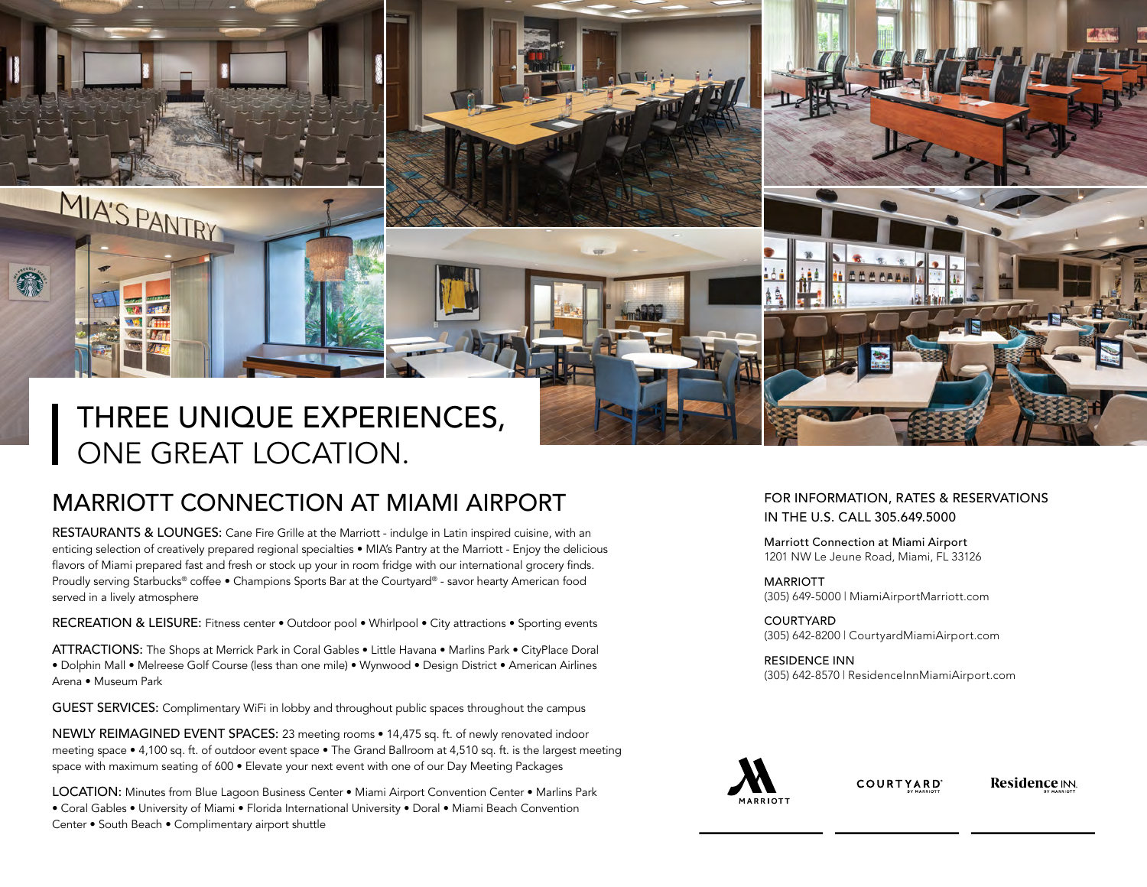# THREE UNIQUE EXPERIENCES, ONE GREAT LOCATION.

MIA'S PANTRY

 $m<sup>2</sup>$  $\nabla$ **CAST** 31.50

€

# MARRIOTT CONNECTION AT MIAMI AIRPORT

RESTAURANTS & LOUNGES: Cane Fire Grille at the Marriott - indulge in Latin inspired cuisine, with an enticing selection of creatively prepared regional specialties • MIA's Pantry at the Marriott - Enjoy the delicious flavors of Miami prepared fast and fresh or stock up your in room fridge with our international grocery finds. Proudly serving Starbucks® coffee • Champions Sports Bar at the Courtyard® - savor hearty American food served in a lively atmosphere

RECREATION & LEISURE: Fitness center . Outdoor pool . Whirlpool . City attractions . Sporting events

ATTRACTIONS: The Shops at Merrick Park in Coral Gables • Little Havana • Marlins Park • CityPlace Doral • Dolphin Mall • Melreese Golf Course (less than one mile) • Wynwood • Design District • American Airlines Arena • Museum Park

GUEST SERVICES: Complimentary WiFi in lobby and throughout public spaces throughout the campus

NEWLY REIMAGINED EVENT SPACES: 23 meeting rooms • 14,475 sq. ft. of newly renovated indoor meeting space • 4,100 sq. ft. of outdoor event space • The Grand Ballroom at 4,510 sq. ft. is the largest meeting space with maximum seating of 600 • Elevate your next event with one of our Day Meeting Packages

LOCATION: Minutes from Blue Lagoon Business Center • Miami Airport Convention Center • Marlins Park • Coral Gables • University of Miami • Florida International University • Doral • Miami Beach Convention Center • South Beach • Complimentary airport shuttle

#### FOR INFORMATION, RATES & RESERVATIONS IN THE U.S. CALL 305.649.5000

Marriott Connection at Miami Airport 1201 NW Le Jeune Road, Miami, FL 33126

MARRIOTT (305) 649-5000 | MiamiAirportMarriot[t.com](https://www.marriott.com/hotels/travel/miaap-miami-airport-marriott/)

COURTYARD (305) 642-8200 | CourtyardMiamiAirport[.com](https://www.marriott.com/hotels/travel/miacs-courtyard-miami-airport/)

RESIDENCE INN (305) 642-8570 | [ResidenceInnMiamiAirport.com](https://www.marriott.com/hotels/travel/miaas-residence-inn-miami-airport/)



**COURTYARD** 

**Residence IN.**